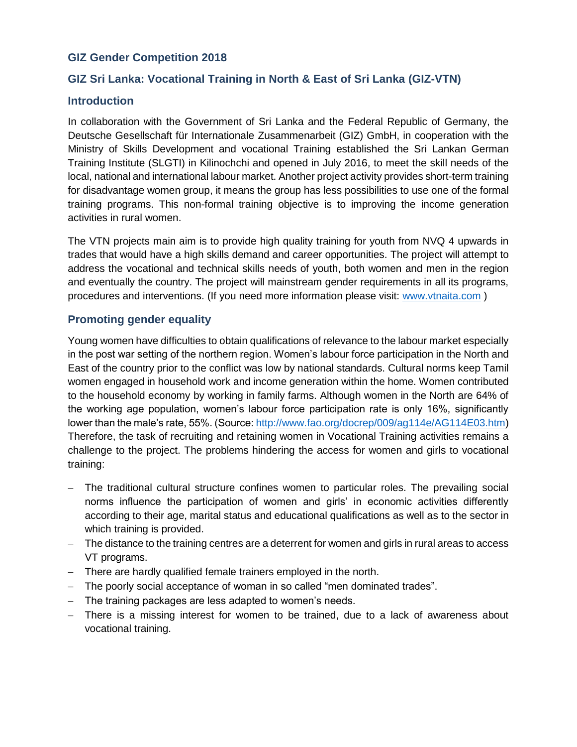# **GIZ Gender Competition 2018**

# **GIZ Sri Lanka: Vocational Training in North & East of Sri Lanka (GIZ-VTN)**

### **Introduction**

In collaboration with the Government of Sri Lanka and the Federal Republic of Germany, the Deutsche Gesellschaft für Internationale Zusammenarbeit (GIZ) GmbH, in cooperation with the Ministry of Skills Development and vocational Training established the Sri Lankan German Training Institute (SLGTI) in Kilinochchi and opened in July 2016, to meet the skill needs of the local, national and international labour market. Another project activity provides short-term training for disadvantage women group, it means the group has less possibilities to use one of the formal training programs. This non-formal training objective is to improving the income generation activities in rural women.

The VTN projects main aim is to provide high quality training for youth from NVQ 4 upwards in trades that would have a high skills demand and career opportunities. The project will attempt to address the vocational and technical skills needs of youth, both women and men in the region and eventually the country. The project will mainstream gender requirements in all its programs, procedures and interventions. (If you need more information please visit: [www.vtnaita.com](http://www.vtnaita.com/) )

### **Promoting gender equality**

Young women have difficulties to obtain qualifications of relevance to the labour market especially in the post war setting of the northern region. Women's labour force participation in the North and East of the country prior to the conflict was low by national standards. Cultural norms keep Tamil women engaged in household work and income generation within the home. Women contributed to the household economy by working in family farms. Although women in the North are 64% of the working age population, women's labour force participation rate is only 16%, significantly lower than the male's rate, 55%. (Source[: http://www.fao.org/docrep/009/ag114e/AG114E03.htm\)](http://www.fao.org/docrep/009/ag114e/AG114E03.htm) Therefore, the task of recruiting and retaining women in Vocational Training activities remains a challenge to the project. The problems hindering the access for women and girls to vocational training:

- The traditional cultural structure confines women to particular roles. The prevailing social norms influence the participation of women and girls' in economic activities differently according to their age, marital status and educational qualifications as well as to the sector in which training is provided.
- The distance to the training centres are a deterrent for women and girls in rural areas to access VT programs.
- There are hardly qualified female trainers employed in the north.
- The poorly social acceptance of woman in so called "men dominated trades".
- The training packages are less adapted to women's needs.
- There is a missing interest for women to be trained, due to a lack of awareness about vocational training.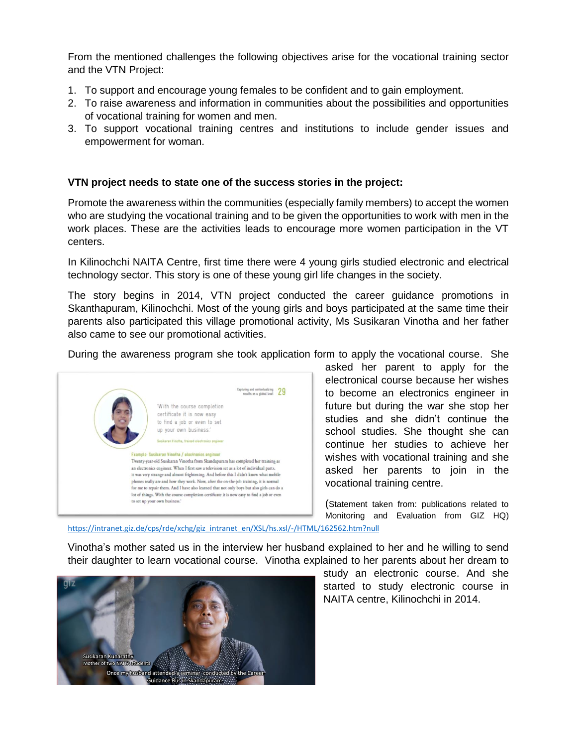From the mentioned challenges the following objectives arise for the vocational training sector and the VTN Project:

- 1. To support and encourage young females to be confident and to gain employment.
- 2. To raise awareness and information in communities about the possibilities and opportunities of vocational training for women and men.
- 3. To support vocational training centres and institutions to include gender issues and empowerment for woman.

#### **VTN project needs to state one of the success stories in the project:**

Promote the awareness within the communities (especially family members) to accept the women who are studying the vocational training and to be given the opportunities to work with men in the work places. These are the activities leads to encourage more women participation in the VT centers.

In Kilinochchi NAITA Centre, first time there were 4 young girls studied electronic and electrical technology sector. This story is one of these young girl life changes in the society.

The story begins in 2014, VTN project conducted the career guidance promotions in Skanthapuram, Kilinochchi. Most of the young girls and boys participated at the same time their parents also participated this village promotional activity, Ms Susikaran Vinotha and her father also came to see our promotional activities.

During the awareness program she took application form to apply the vocational course. She



asked her parent to apply for the electronical course because her wishes to become an electronics engineer in future but during the war she stop her studies and she didn't continue the school studies. She thought she can continue her studies to achieve her wishes with vocational training and she asked her parents to join in the vocational training centre.

(Statement taken from: publications related to Monitoring and Evaluation from GIZ HQ)

[https://intranet.giz.de/cps/rde/xchg/giz\\_intranet\\_en/XSL/hs.xsl/-/HTML/162562.htm?null](https://intranet.giz.de/cps/rde/xchg/giz_intranet_en/XSL/hs.xsl/-/HTML/162562.htm?null)

Vinotha's mother sated us in the interview her husband explained to her and he willing to send their daughter to learn vocational course. Vinotha explained to her parents about her dream to



study an electronic course. And she started to study electronic course in NAITA centre, Kilinochchi in 2014.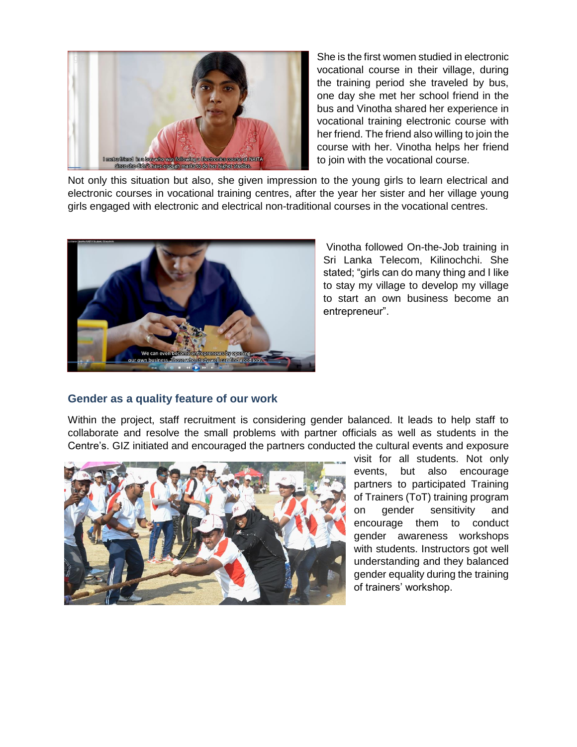

She is the first women studied in electronic vocational course in their village, during the training period she traveled by bus, one day she met her school friend in the bus and Vinotha shared her experience in vocational training electronic course with her friend. The friend also willing to join the course with her. Vinotha helps her friend to join with the vocational course.

Not only this situation but also, she given impression to the young girls to learn electrical and electronic courses in vocational training centres, after the year her sister and her village young girls engaged with electronic and electrical non-traditional courses in the vocational centres.



Vinotha followed On-the-Job training in Sri Lanka Telecom, Kilinochchi. She stated; "girls can do many thing and I like to stay my village to develop my village to start an own business become an entrepreneur".

## **Gender as a quality feature of our work**

Within the project, staff recruitment is considering gender balanced. It leads to help staff to collaborate and resolve the small problems with partner officials as well as students in the Centre's. GIZ initiated and encouraged the partners conducted the cultural events and exposure



visit for all students. Not only events, but also encourage partners to participated Training of Trainers (ToT) training program on gender sensitivity and encourage them to conduct gender awareness workshops with students. Instructors got well understanding and they balanced gender equality during the training of trainers' workshop.